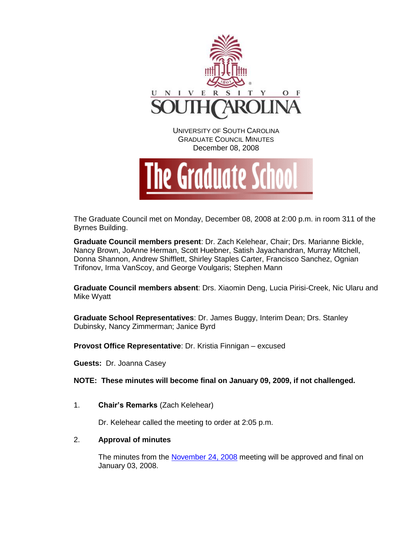

December 08, 2008



The Graduate Council met on Monday, December 08, 2008 at 2:00 p.m. in room 311 of the Byrnes Building.

**Graduate Council members present**: Dr. Zach Kelehear, Chair; Drs. Marianne Bickle, Nancy Brown, JoAnne Herman, Scott Huebner, Satish Jayachandran, Murray Mitchell, Donna Shannon, Andrew Shifflett, Shirley Staples Carter, Francisco Sanchez, Ognian Trifonov, Irma VanScoy, and George Voulgaris; Stephen Mann

**Graduate Council members absent**: Drs. Xiaomin Deng, Lucia Pirisi-Creek, Nic Ularu and Mike Wyatt

**Graduate School Representatives**: Dr. James Buggy, Interim Dean; Drs. Stanley Dubinsky, Nancy Zimmerman; Janice Byrd

**Provost Office Representative**: Dr. Kristia Finnigan – excused

**Guests:** Dr. Joanna Casey

**NOTE: These minutes will become final on January 09, 2009, if not challenged.**

1. **Chair's Remarks** (Zach Kelehear)

Dr. Kelehear called the meeting to order at 2:05 p.m.

# 2. **Approval of minutes**

The minutes from the [November 24, 2008](http://www.gradschool.sc.edu/gradcouncil/minutes/GCMINUTES112408.pdf) meeting will be approved and final on January 03, 2008.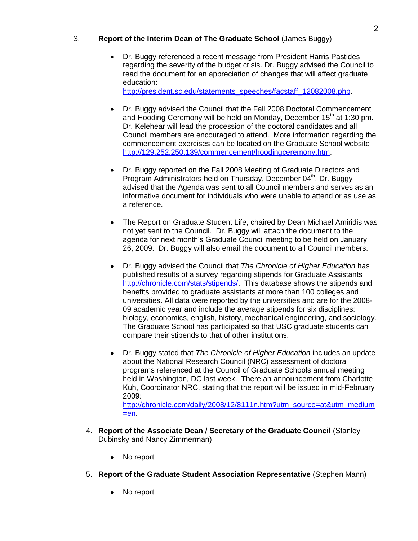# 3. **Report of the Interim Dean of The Graduate School** (James Buggy)

Dr. Buggy referenced a recent message from President Harris Pastides regarding the severity of the budget crisis. Dr. Buggy advised the Council to read the document for an appreciation of changes that will affect graduate education:

[http://president.sc.edu/statements\\_speeches/facstaff\\_12082008.php.](http://president.sc.edu/statements_speeches/facstaff_12082008.php)

- Dr. Buggy advised the Council that the Fall 2008 Doctoral Commencement and Hooding Ceremony will be held on Monday, December  $15<sup>th</sup>$  at 1:30 pm. Dr. Kelehear will lead the procession of the doctoral candidates and all Council members are encouraged to attend. More information regarding the commencement exercises can be located on the Graduate School website [http://129.252.250.139/commencement/hoodingceremony.htm.](http://129.252.250.139/commencement/hoodingceremony.htm)
- Dr. Buggy reported on the Fall 2008 Meeting of Graduate Directors and Program Administrators held on Thursday, December 04<sup>th</sup>. Dr. Buggy advised that the Agenda was sent to all Council members and serves as an informative document for individuals who were unable to attend or as use as a reference.
- The Report on Graduate Student Life, chaired by Dean Michael Amiridis was not yet sent to the Council. Dr. Buggy will attach the document to the agenda for next month's Graduate Council meeting to be held on January 26, 2009. Dr. Buggy will also email the document to all Council members.
- Dr. Buggy advised the Council that *The Chronicle of Higher Education* has published results of a survey regarding stipends for Graduate Assistants [http://chronicle.com/stats/stipends/.](http://chronicle.com/stats/stipends/) This database shows the stipends and benefits provided to graduate assistants at more than 100 colleges and universities. All data were reported by the universities and are for the 2008- 09 academic year and include the average stipends for six disciplines: biology, economics, english, history, mechanical engineering, and sociology. The Graduate School has participated so that USC graduate students can compare their stipends to that of other institutions.
- Dr. Buggy stated that *The Chronicle of Higher Education* includes an update about the National Research Council (NRC) assessment of doctoral programs referenced at the Council of Graduate Schools annual meeting held in Washington, DC last week. There an announcement from Charlotte Kuh, Coordinator NRC, stating that the report will be issued in mid-February 2009:

[http://chronicle.com/daily/2008/12/8111n.htm?utm\\_source=at&utm\\_medium](http://chronicle.com/daily/2008/12/8111n.htm?utm_source=at&utm_medium=en)  $=$ en.

- 4. **Report of the Associate Dean / Secretary of the Graduate Council** (Stanley Dubinsky and Nancy Zimmerman)
	- No report
- 5. **Report of the Graduate Student Association Representative** (Stephen Mann)
	- No report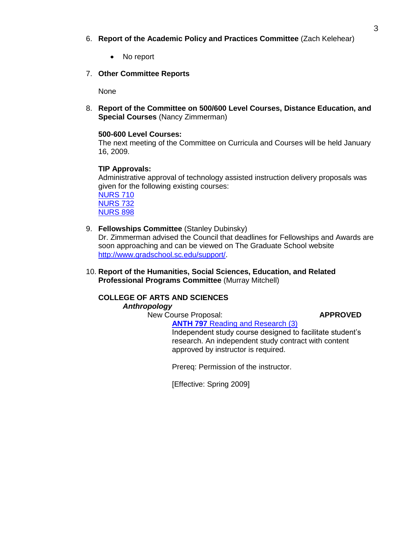- 6. **Report of the Academic Policy and Practices Committee** (Zach Kelehear)
	- No report
- 7. **Other Committee Reports**

None

8. **Report of the Committee on 500/600 Level Courses, Distance Education, and Special Courses** (Nancy Zimmerman)

#### **500-600 Level Courses:**

The next meeting of the Committee on Curricula and Courses will be held January 16, 2009.

## **TIP Approvals:**

Administrative approval of technology assisted instruction delivery proposals was given for the following existing courses:

[NURS 710](http://www.gradschool.sc.edu/gradcouncil/Curricula/TIP%20NURS%20710.PDF) [NURS 732](http://www.gradschool.sc.edu/gradcouncil/Curricula/TIP%20NURS%20732.PDF) [NURS 898](http://www.gradschool.sc.edu/gradcouncil/Curricula/TIP%20NURS%20898(2).PDF)

9. **Fellowships Committee** (Stanley Dubinsky)

Dr. Zimmerman advised the Council that deadlines for Fellowships and Awards are soon approaching and can be viewed on The Graduate School website [http://www.gradschool.sc.edu/support/.](http://www.gradschool.sc.edu/support/)

10. **Report of the Humanities, Social Sciences, Education, and Related Professional Programs Committee** (Murray Mitchell)

# **COLLEGE OF ARTS AND SCIENCES**

*Anthropology* 

New Course Proposal: **APPROVED ANTH 797** [Reading and Research \(3\)](http://www.gradschool.sc.edu/gradcouncil/Curricula/NCP%20ANTH%20797.pdf)

Independent study course designed to facilitate student's research. An independent study contract with content approved by instructor is required.

Prereq: Permission of the instructor.

[Effective: Spring 2009]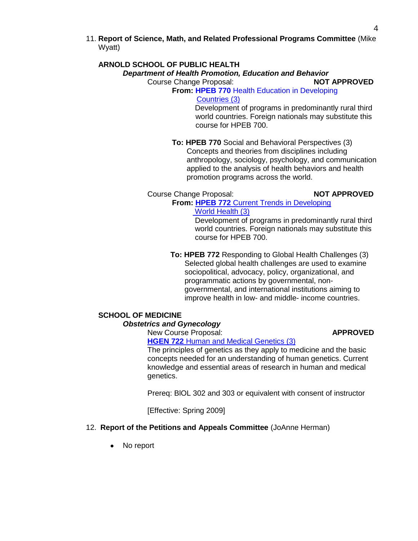11. **Report of Science, Math, and Related Professional Programs Committee** (Mike Wyatt)

### **ARNOLD SCHOOL OF PUBLIC HEALTH**

#### *Department of Health Promotion, Education and Behavior*

Course Change Proposal: **NOT APPROVED** 

#### **From: HPEB 770 Health Education in Developing** [Countries \(3\)](http://www.gradschool.sc.edu/gradcouncil/Curricula/CCP%20HPEB%20770.PDF)

 Development of programs in predominantly rural third world countries. Foreign nationals may substitute this course for HPEB 700.

# **To: HPEB 770** Social and Behavioral Perspectives (3)

 Concepts and theories from disciplines including anthropology, sociology, psychology, and communication applied to the analysis of health behaviors and health promotion programs across the world.

#### Course Change Proposal: **NOT APPROVED**

#### **From: HPEB 772** [Current Trends in Developing](http://www.gradschool.sc.edu/gradcouncil/Curricula/CCP%20HPEB-772.pdf)   [World Health \(3\)](http://www.gradschool.sc.edu/gradcouncil/Curricula/CCP%20HPEB-772.pdf)

 Development of programs in predominantly rural third world countries. Foreign nationals may substitute this course for HPEB 700.

#### **To: HPEB 772** Responding to Global Health Challenges (3) Selected global health challenges are used to examine sociopolitical, advocacy, policy, organizational, and programmatic actions by governmental, non governmental, and international institutions aiming to improve health in low- and middle- income countries.

# **SCHOOL OF MEDICINE**

# *Obstetrics and Gynecology*

# New Course Proposal: **APPROVED**

**HGEN 722** [Human and Medical Genetics \(3\)](http://www.gradschool.sc.edu/gradcouncil/Curricula/NCP%20HGEN%20722.pdf)

The principles of genetics as they apply to medicine and the basic concepts needed for an understanding of human genetics. Current knowledge and essential areas of research in human and medical genetics.

Prereq: BlOL 302 and 303 or equivalent with consent of instructor

[Effective: Spring 2009]

# 12. **Report of the Petitions and Appeals Committee** (JoAnne Herman)

No report